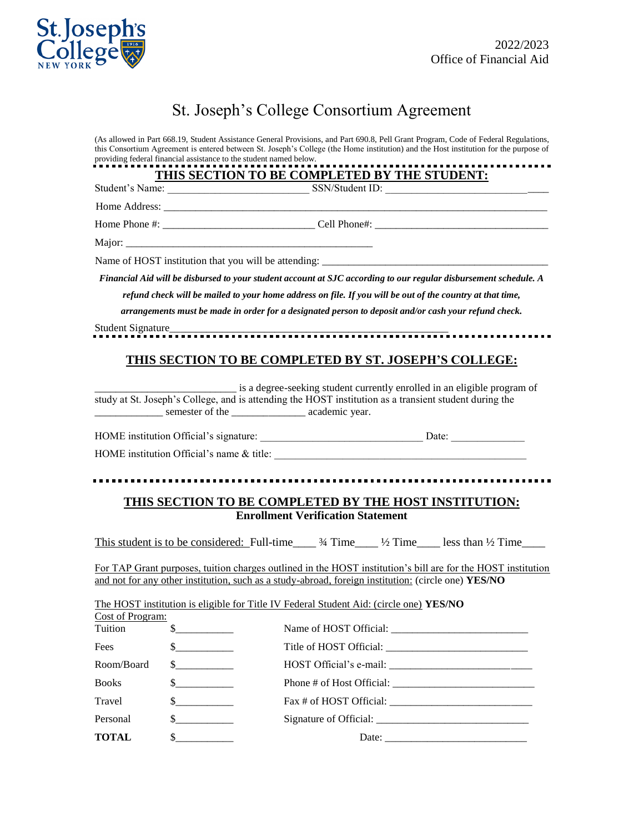

# St. Joseph's College Consortium Agreement

(As allowed in Part 668.19, Student Assistance General Provisions, and Part 690.8, Pell Grant Program, Code of Federal Regulations, this Consortium Agreement is entered between St. Joseph's College (the Home institution) and the Host institution for the purpose of providing federal financial assistance to the student named below.

|                 | THIS SECTION TO BE COMPLETED BY THE STUDENT: |  |
|-----------------|----------------------------------------------|--|
| Student's Name: | SSN/Student ID:                              |  |

Home Address:

Home Phone #: \_\_\_\_\_\_\_\_\_\_\_\_\_\_\_\_\_\_\_\_\_\_\_\_\_\_\_\_\_ Cell Phone#: \_\_\_\_\_\_\_\_\_\_\_\_\_\_\_\_\_\_\_\_\_\_\_\_\_\_\_\_\_\_\_\_\_

Major:

Name of HOST institution that you will be attending:

*Financial Aid will be disbursed to your student account at SJC according to our regular disbursement schedule. A refund check will be mailed to your home address on file. If you will be out of the country at that time, arrangements must be made in order for a designated person to deposit and/or cash your refund check.*

Student Signature\_\_\_\_\_\_\_\_\_\_\_\_\_\_\_\_\_\_\_\_\_\_\_\_\_\_\_\_\_\_\_\_\_\_\_\_\_\_\_\_\_\_\_\_\_\_\_\_\_\_\_\_\_

## **THIS SECTION TO BE COMPLETED BY ST. JOSEPH'S COLLEGE:**

\_\_\_\_\_\_\_\_\_\_\_\_\_\_\_\_\_\_\_\_\_\_\_\_\_\_\_ is a degree-seeking student currently enrolled in an eligible program of study at St. Joseph's College, and is attending the HOST institution as a transient student during the \_\_\_\_\_\_\_\_\_\_\_\_\_ semester of the \_\_\_\_\_\_\_\_\_\_\_\_\_\_ academic year.

HOME institution Official's signature: \_\_\_\_\_\_\_\_\_\_\_\_\_\_\_\_\_\_\_\_\_\_\_\_\_\_\_\_\_\_\_ Date: \_\_\_\_\_\_\_\_\_\_\_\_\_\_

HOME institution Official's name  $&$  title:

## **THIS SECTION TO BE COMPLETED BY THE HOST INSTITUTION: Enrollment Verification Statement**

This student is to be considered: Full-time\_\_\_\_  $\frac{3}{4}$  Time\_\_\_\_ ½ Time\_\_\_ less than ½ Time\_\_\_

For TAP Grant purposes, tuition charges outlined in the HOST institution's bill are for the HOST institution and not for any other institution, such as a study-abroad, foreign institution: (circle one) **YES/NO**

|                  |                                           | The HOST institution is eligible for Title IV Federal Student Aid: (circle one) YES/NO |  |
|------------------|-------------------------------------------|----------------------------------------------------------------------------------------|--|
| Cost of Program: |                                           |                                                                                        |  |
| Tuition          | $\frac{\text{S}}{\text{S}}$               |                                                                                        |  |
| Fees             | $\frac{\text{S}}{\text{S}}$               |                                                                                        |  |
| Room/Board       | $\frac{\text{S}}{\text{S}}$               |                                                                                        |  |
| <b>Books</b>     | $\frac{\S_{\text{max}}}{\S_{\text{max}}}$ |                                                                                        |  |
| Travel           | $\sim$                                    | Fax # of HOST Official:                                                                |  |
| Personal         | $\frac{1}{2}$                             |                                                                                        |  |
| <b>TOTAL</b>     | $\frac{\text{S}}{\text{S}}$               | Date: $\frac{1}{\sqrt{1-\frac{1}{2}} \cdot \frac{1}{2}}$                               |  |
|                  |                                           |                                                                                        |  |